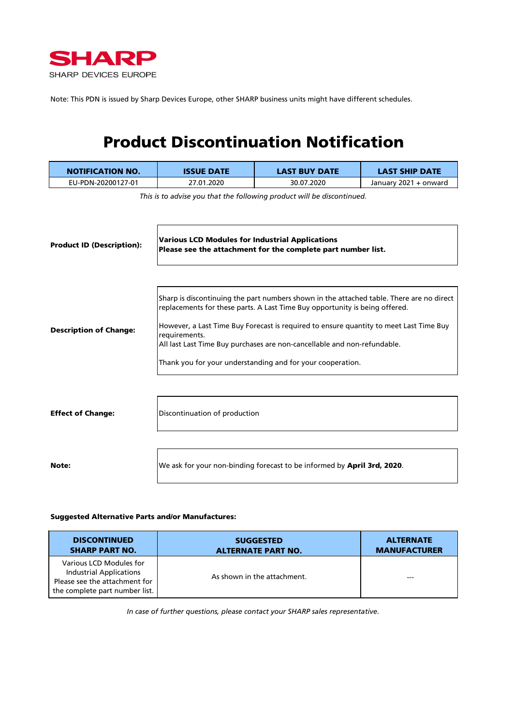

Note: This PDN is issued by Sharp Devices Europe, other SHARP business units might have different schedules.

## Product Discontinuation Notification

| <b>NOTIFICATION NO.</b>          | <b>ISSUE DATE</b>                                                                                                                                                                                                                                                                                                                                                                                                            | <b>LAST BUY DATE</b>                                                    | <b>LAST SHIP DATE</b> |  |  |
|----------------------------------|------------------------------------------------------------------------------------------------------------------------------------------------------------------------------------------------------------------------------------------------------------------------------------------------------------------------------------------------------------------------------------------------------------------------------|-------------------------------------------------------------------------|-----------------------|--|--|
| EU-PDN-20200127-01               | 27.01.2020                                                                                                                                                                                                                                                                                                                                                                                                                   | 30.07.2020                                                              | January 2021 + onward |  |  |
| <b>Product ID (Description):</b> | This is to advise you that the following product will be discontinued.<br><b>Various LCD Modules for Industrial Applications</b><br>Please see the attachment for the complete part number list.                                                                                                                                                                                                                             |                                                                         |                       |  |  |
| <b>Description of Change:</b>    | Sharp is discontinuing the part numbers shown in the attached table. There are no direct<br>replacements for these parts. A Last Time Buy opportunity is being offered.<br>However, a Last Time Buy Forecast is required to ensure quantity to meet Last Time Buy<br>requirements.<br>All last Last Time Buy purchases are non-cancellable and non-refundable.<br>Thank you for your understanding and for your cooperation. |                                                                         |                       |  |  |
| <b>Effect of Change:</b>         | Discontinuation of production                                                                                                                                                                                                                                                                                                                                                                                                |                                                                         |                       |  |  |
| Note:                            |                                                                                                                                                                                                                                                                                                                                                                                                                              | We ask for your non-binding forecast to be informed by April 3rd, 2020. |                       |  |  |

## Suggested Alternative Parts and/or Manufactures:

| <b>DISCONTINUED</b>                                                                                                          | <b>SUGGESTED</b>            | <b>ALTERNATE</b>    |
|------------------------------------------------------------------------------------------------------------------------------|-----------------------------|---------------------|
| <b>SHARP PART NO.</b>                                                                                                        | <b>ALTERNATE PART NO.</b>   | <b>MANUFACTURER</b> |
| Various LCD Modules for<br><b>Industrial Applications</b><br>Please see the attachment for<br>the complete part number list. | As shown in the attachment. | ---                 |

*In case of further questions, please contact your SHARP sales representative.*